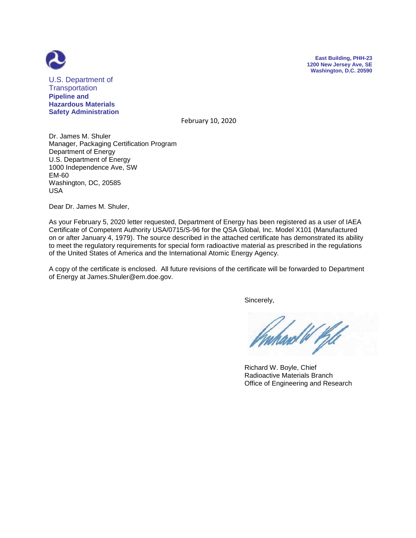



U.S. Department of **Transportation Pipeline and Hazardous Materials Safety Administration**

February 10, 2020

Dr. James M. Shuler Manager, Packaging Certification Program Department of Energy U.S. Department of Energy 1000 Independence Ave, SW EM-60 Washington, DC, 20585 USA

Dear Dr. James M. Shuler,

As your February 5, 2020 letter requested, Department of Energy has been registered as a user of IAEA Certificate of Competent Authority USA/0715/S-96 for the QSA Global, Inc. Model X101 (Manufactured on or after January 4, 1979). The source described in the attached certificate has demonstrated its ability to meet the regulatory requirements for special form radioactive material as prescribed in the regulations of the United States of America and the International Atomic Energy Agency.

A copy of the certificate is enclosed. All future revisions of the certificate will be forwarded to Department of Energy at James.Shuler@em.doe.gov.

Sincerely,

ard W Pill

 Richard W. Boyle, Chief Radioactive Materials Branch Office of Engineering and Research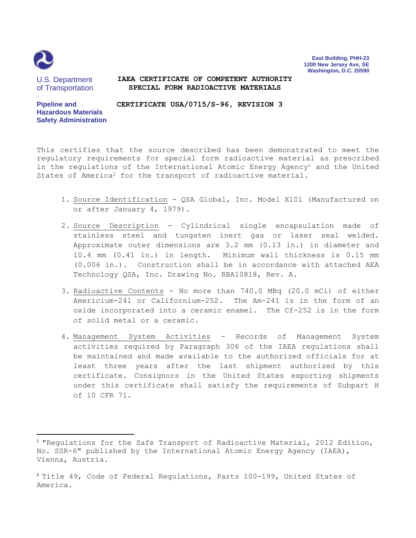

 $\overline{\phantom{a}}$ 

**East Building, PHH-23 1200 New Jersey Ave, SE Washington, D.C. 20590**

U.S. Department of Transportation

**Hazardous Materials Safety Administration**

**Pipeline and** 

## **IAEA CERTIFICATE OF COMPETENT AUTHORITY SPECIAL FORM RADIOACTIVE MATERIALS**

**CERTIFICATE USA/0715/S-96, REVISION 3**

This certifies that the source described has been demonstrated to meet the regulatory requirements for special form radioactive material as prescribed in the regulations of the International Atomic Energy Agency<sup>1</sup> and the United

States of America<sup>2</sup> for the transport of radioactive material.

- 1. Source Identification QSA Global, Inc. Model X101 (Manufactured on or after January 4, 1979).
- 2. Source Description Cylindrical single encapsulation made of stainless steel and tungsten inert gas or laser seal welded. Approximate outer dimensions are 3.2 mm (0.13 in.) in diameter and 10.4 mm (0.41 in.) in length. Minimum wall thickness is 0.15 mm (0.006 in.). Construction shall be in accordance with attached AEA Technology QSA, Inc. Drawing No. RBA10818, Rev. A.
- 3. Radioactive Contents No more than 740.0 MBq (20.0 mCi) of either Americium-241 or Californium-252. The Am-241 is in the form of an oxide incorporated into a ceramic enamel. The Cf-252 is in the form of solid metal or a ceramic.
- 4. Management System Activities Records of Management System activities required by Paragraph 306 of the IAEA regulations shall be maintained and made available to the authorized officials for at least three years after the last shipment authorized by this certificate. Consignors in the United States exporting shipments under this certificate shall satisfy the requirements of Subpart H of 10 CFR 71.

<sup>&</sup>lt;sup>1</sup> "Requlations for the Safe Transport of Radioactive Material, 2012 Edition, No. SSR-6" published by the International Atomic Energy Agency (IAEA), Vienna, Austria.

<sup>2</sup> Title 49, Code of Federal Regulations, Parts 100-199, United States of America.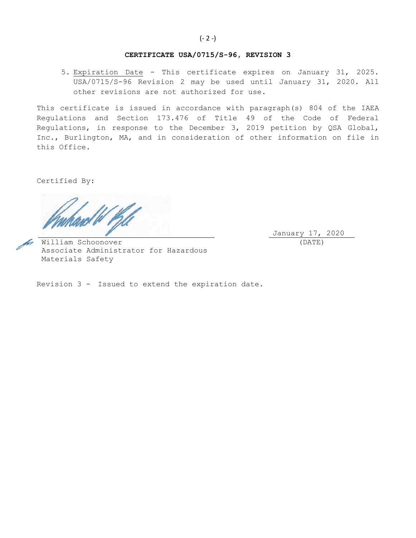#### **CERTIFICATE USA/0715/S-96, REVISION 3**

5. Expiration Date - This certificate expires on January 31, 2025. USA/0715/S-96 Revision 2 may be used until January 31, 2020. All other revisions are not authorized for use.

This certificate is issued in accordance with paragraph(s) 804 of the IAEA Regulations and Section 173.476 of Title 49 of the Code of Federal Regulations, in response to the December 3, 2019 petition by QSA Global, Inc., Burlington, MA, and in consideration of other information on file in this Office.

Certified By:

January 17, 2020 (DATE)

William Schoonover Associate Administrator for Hazardous Materials Safety

Revision 3 - Issued to extend the expiration date.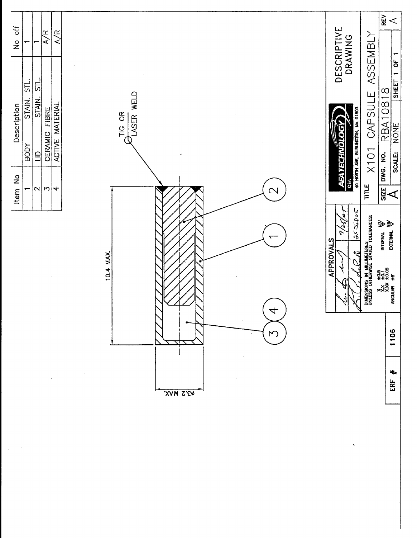